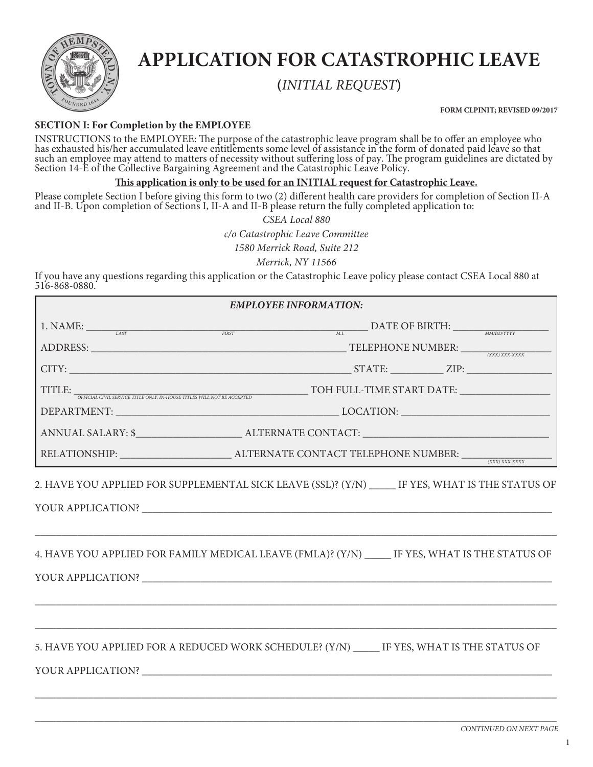

# **APPLICATION FOR CATASTROPHIC LEAVE**

**(***INITIAL REQUEST***)**

**FORM CLPINIT; REVISED 09/2017**

# **SECTION I: For Completion by the EMPLOYEE**

INSTRUCTIONS to the EMPLOYEE: The purpose of the catastrophic leave program shall be to offer an employee who has exhausted his/her accumulated leave entitlements some level of assistance in the form of donated paid leave so that such an employee may attend to matters of necessity without suffering loss of pay. The program guidelines are dictated by Section 14-E of the Collective Bargaining Agreement and the Catastrophic Leave Policy.

## **This application is only to be used for an INITIAL request for Catastrophic Leave.**

Please complete Section I before giving this form to two (2) different health care providers for completion of Section II-A and II-B. Upon completion of Sections I, II-A and II-B please return the fully completed application to:

> *CSEA Local 880 c/o Catastrophic Leave Committee 1580 Merrick Road, Suite 212 Merrick, NY 11566*

If you have any questions regarding this application or the Catastrophic Leave policy please contact CSEA Local 880 at 516-868-0880.

| <b>EMPLOYEE INFORMATION:</b>                                                                                                                                                                                                                   |                                                                                                                        |  |  |  |  |
|------------------------------------------------------------------------------------------------------------------------------------------------------------------------------------------------------------------------------------------------|------------------------------------------------------------------------------------------------------------------------|--|--|--|--|
|                                                                                                                                                                                                                                                | 1. NAME: $\frac{LAST}{LAST}$ DATE OF BIRTH: $\frac{M.L}{M.L}$                                                          |  |  |  |  |
|                                                                                                                                                                                                                                                | ADDRESS: TELEPHONE NUMBER: TELEPHONE NUMBER: TELEPHONE NUMBER:                                                         |  |  |  |  |
|                                                                                                                                                                                                                                                |                                                                                                                        |  |  |  |  |
|                                                                                                                                                                                                                                                |                                                                                                                        |  |  |  |  |
|                                                                                                                                                                                                                                                |                                                                                                                        |  |  |  |  |
|                                                                                                                                                                                                                                                | ANNUAL SALARY: \$________________________________ALTERNATE CONTACT: _________________________________                  |  |  |  |  |
| $\textbf{RELATIONSHIP:}\underbrace{\hspace{2.5cm}}_{\textcolor{blue}{\textbf{(XXX) XXX-XXXXY}}}\textbf{ALTERNATE CONTACT TELEPHONE NUMBER:}\underbrace{\hspace{2.3cm}}_{\textcolor{blue}{\textbf{(XXX) XXX-XXXXY}}}\textbf{ALTERNATE CONTACT}$ |                                                                                                                        |  |  |  |  |
|                                                                                                                                                                                                                                                | 2. HAVE YOU APPLIED FOR SUPPLEMENTAL SICK LEAVE (SSL)? (Y/N) ______ IF YES, WHAT IS THE STATUS OF<br>YOUR APPLICATION? |  |  |  |  |
|                                                                                                                                                                                                                                                | 4. HAVE YOU APPLIED FOR FAMILY MEDICAL LEAVE (FMLA)? (Y/N) ______ IF YES, WHAT IS THE STATUS OF                        |  |  |  |  |
| YOUR APPLICATION?                                                                                                                                                                                                                              | 5. HAVE YOU APPLIED FOR A REDUCED WORK SCHEDULE? (Y/N) _____ IF YES, WHAT IS THE STATUS OF                             |  |  |  |  |

\_\_\_\_\_\_\_\_\_\_\_\_\_\_\_\_\_\_\_\_\_\_\_\_\_\_\_\_\_\_\_\_\_\_\_\_\_\_\_\_\_\_\_\_\_\_\_\_\_\_\_\_\_\_\_\_\_\_\_\_\_\_\_\_\_\_\_\_\_\_\_\_\_\_\_\_\_\_\_\_\_\_\_\_\_\_\_\_\_\_\_\_\_\_\_\_\_\_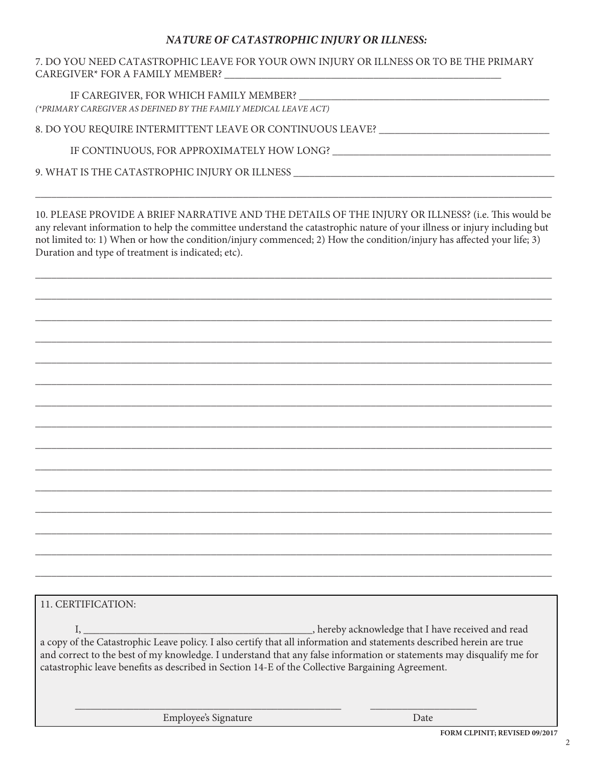# *NATURE OF CATASTROPHIC INJURY OR ILLNESS:*

### 7. DO YOU NEED CATASTROPHIC LEAVE FOR YOUR OWN INJURY OR ILLNESS OR TO BE THE PRIMARY CAREGIVER\* FOR A FAMILY MEMBER?

IF CAREGIVER, FOR WHICH FAMILY MEMBER? *(\*PRIMARY CAREGIVER AS DEFINED BY THE FAMILY MEDICAL LEAVE ACT)*

8. DO YOU REQUIRE INTERMITTENT LEAVE OR CONTINUOUS LEAVE?

IF CONTINUOUS, FOR APPROXIMATELY HOW LONG?

9. WHAT IS THE CATASTROPHIC INJURY OR ILLNESS \_\_\_\_\_\_\_\_\_\_\_\_\_\_\_\_\_\_\_\_\_\_\_\_\_\_\_\_\_\_\_\_\_\_\_\_\_\_\_\_\_\_\_\_\_\_\_\_\_

10. PLEASE PROVIDE A BRIEF NARRATIVE AND THE DETAILS OF THE INJURY OR ILLNESS? (i.e. This would be any relevant information to help the committee understand the catastrophic nature of your illness or injury including but not limited to: 1) When or how the condition/injury commenced; 2) How the condition/injury has affected your life; 3) Duration and type of treatment is indicated; etc).

 $\overline{\phantom{a}}$  , and the contract of the contract of the contract of the contract of the contract of the contract of the contract of the contract of the contract of the contract of the contract of the contract of the contrac

\_\_\_\_\_\_\_\_\_\_\_\_\_\_\_\_\_\_\_\_\_\_\_\_\_\_\_\_\_\_\_\_\_\_\_\_\_\_\_\_\_\_\_\_\_\_\_\_\_\_\_\_\_\_\_\_\_\_\_\_\_\_\_\_\_\_\_\_\_\_\_\_\_\_\_\_\_\_\_\_\_\_\_\_\_\_\_\_\_\_\_\_\_\_\_\_\_

\_\_\_\_\_\_\_\_\_\_\_\_\_\_\_\_\_\_\_\_\_\_\_\_\_\_\_\_\_\_\_\_\_\_\_\_\_\_\_\_\_\_\_\_\_\_\_\_\_\_\_\_\_\_\_\_\_\_\_\_\_\_\_\_\_\_\_\_\_\_\_\_\_\_\_\_\_\_\_\_\_\_\_\_\_\_\_\_\_\_\_\_\_\_\_\_\_

 $\overline{\phantom{a}}$  , and the contract of the contract of the contract of the contract of the contract of the contract of the contract of the contract of the contract of the contract of the contract of the contract of the contrac

\_\_\_\_\_\_\_\_\_\_\_\_\_\_\_\_\_\_\_\_\_\_\_\_\_\_\_\_\_\_\_\_\_\_\_\_\_\_\_\_\_\_\_\_\_\_\_\_\_\_\_\_\_\_\_\_\_\_\_\_\_\_\_\_\_\_\_\_\_\_\_\_\_\_\_\_\_\_\_\_\_\_\_\_\_\_\_\_\_\_\_\_\_\_\_\_\_

\_\_\_\_\_\_\_\_\_\_\_\_\_\_\_\_\_\_\_\_\_\_\_\_\_\_\_\_\_\_\_\_\_\_\_\_\_\_\_\_\_\_\_\_\_\_\_\_\_\_\_\_\_\_\_\_\_\_\_\_\_\_\_\_\_\_\_\_\_\_\_\_\_\_\_\_\_\_\_\_\_\_\_\_\_\_\_\_\_\_\_\_\_\_\_\_\_

 $\overline{\phantom{a}}$  , and the contract of the contract of the contract of the contract of the contract of the contract of the contract of the contract of the contract of the contract of the contract of the contract of the contrac

\_\_\_\_\_\_\_\_\_\_\_\_\_\_\_\_\_\_\_\_\_\_\_\_\_\_\_\_\_\_\_\_\_\_\_\_\_\_\_\_\_\_\_\_\_\_\_\_\_\_\_\_\_\_\_\_\_\_\_\_\_\_\_\_\_\_\_\_\_\_\_\_\_\_\_\_\_\_\_\_\_\_\_\_\_\_\_\_\_\_\_\_\_\_\_\_\_

\_\_\_\_\_\_\_\_\_\_\_\_\_\_\_\_\_\_\_\_\_\_\_\_\_\_\_\_\_\_\_\_\_\_\_\_\_\_\_\_\_\_\_\_\_\_\_\_\_\_\_\_\_\_\_\_\_\_\_\_\_\_\_\_\_\_\_\_\_\_\_\_\_\_\_\_\_\_\_\_\_\_\_\_\_\_\_\_\_\_\_\_\_\_\_\_\_

 $\overline{\phantom{a}}$  , and the contract of the contract of the contract of the contract of the contract of the contract of the contract of the contract of the contract of the contract of the contract of the contract of the contrac

\_\_\_\_\_\_\_\_\_\_\_\_\_\_\_\_\_\_\_\_\_\_\_\_\_\_\_\_\_\_\_\_\_\_\_\_\_\_\_\_\_\_\_\_\_\_\_\_\_\_\_\_\_\_\_\_\_\_\_\_\_\_\_\_\_\_\_\_\_\_\_\_\_\_\_\_\_\_\_\_\_\_\_\_\_\_\_\_\_\_\_\_\_\_\_\_\_

\_\_\_\_\_\_\_\_\_\_\_\_\_\_\_\_\_\_\_\_\_\_\_\_\_\_\_\_\_\_\_\_\_\_\_\_\_\_\_\_\_\_\_\_\_\_\_\_\_\_\_\_\_\_\_\_\_\_\_\_\_\_\_\_\_\_\_\_\_\_\_\_\_\_\_\_\_\_\_\_\_\_\_\_\_\_\_\_\_\_\_\_\_\_\_\_\_

 $\overline{\phantom{a}}$  , and the contract of the contract of the contract of the contract of the contract of the contract of the contract of the contract of the contract of the contract of the contract of the contract of the contrac

\_\_\_\_\_\_\_\_\_\_\_\_\_\_\_\_\_\_\_\_\_\_\_\_\_\_\_\_\_\_\_\_\_\_\_\_\_\_\_\_\_\_\_\_\_\_\_\_\_\_\_\_\_\_\_\_\_\_\_\_\_\_\_\_\_\_\_\_\_\_\_\_\_\_\_\_\_\_\_\_\_\_\_\_\_\_\_\_\_\_\_\_\_\_\_\_\_

\_\_\_\_\_\_\_\_\_\_\_\_\_\_\_\_\_\_\_\_\_\_\_\_\_\_\_\_\_\_\_\_\_\_\_\_\_\_\_\_\_\_\_\_\_\_\_\_\_\_\_\_\_\_\_\_\_\_\_\_\_\_\_\_\_\_\_\_\_\_\_\_\_\_\_\_\_\_\_\_\_\_\_\_\_\_\_\_\_\_\_\_\_\_\_\_\_

\_\_\_\_\_\_\_\_\_\_\_\_\_\_\_\_\_\_\_\_\_\_\_\_\_\_\_\_\_\_\_\_\_\_\_\_\_\_\_\_\_\_\_\_\_\_\_\_\_\_\_\_\_\_\_\_\_\_\_\_\_\_\_\_\_\_\_\_\_\_\_\_\_\_\_\_\_\_\_\_\_\_\_\_\_\_\_\_\_\_\_\_\_\_\_\_\_

11. CERTIFICATION:

I, \_\_\_\_\_\_\_\_\_\_\_\_\_\_\_\_\_\_\_\_\_\_\_\_\_\_\_\_\_\_\_\_\_\_\_\_\_\_\_\_\_\_\_, hereby acknowledge that I have received and read a copy of the Catastrophic Leave policy. I also certify that all information and statements described herein are true and correct to the best of my knowledge. I understand that any false information or statements may disqualify me for catastrophic leave benefits as described in Section 14-E of the Collective Bargaining Agreement.

\_\_\_\_\_\_\_\_\_\_\_\_\_\_\_\_\_\_\_\_\_\_\_\_\_\_\_\_\_\_\_\_\_\_\_\_\_\_\_\_\_\_\_\_\_\_\_\_\_\_ \_\_\_\_\_\_\_\_\_\_\_\_\_\_\_\_\_\_\_\_

Employee's Signature Date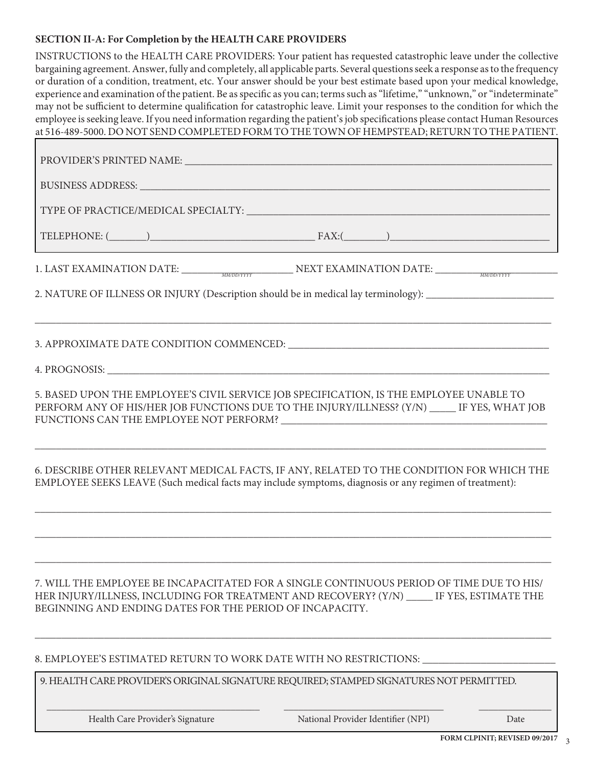#### **SECTION II-A: For Completion by the HEALTH CARE PROVIDERS**

INSTRUCTIONS to the HEALTH CARE PROVIDERS: Your patient has requested catastrophic leave under the collective bargaining agreement. Answer, fully and completely, all applicable parts. Several questions seek a response as to the frequency or duration of a condition, treatment, etc. Your answer should be your best estimate based upon your medical knowledge, experience and examination of the patient. Be as specific as you can; terms such as "lifetime," "unknown," or "indeterminate" may not be sufficient to determine qualification for catastrophic leave. Limit your responses to the condition for which the employee is seeking leave. If you need information regarding the patient's job specifications please contact Human Resources at 516-489-5000. DO NOT SEND COMPLETED FORM TO THE TOWN OF HEMPSTEAD; RETURN TO THE PATIENT.

| BUSINESS ADDRESS: University of the Community of the Community of the Community of the Community of the Community of the Community of the Community of the Community of the Community of the Community of the Community of the                     |
|----------------------------------------------------------------------------------------------------------------------------------------------------------------------------------------------------------------------------------------------------|
|                                                                                                                                                                                                                                                    |
| TELEPHONE: $(\_\_)$                                                                                                                                                                                                                                |
| 1. LAST EXAMINATION DATE: MANDENTYY NEXT EXAMINATION DATE: WARDENTYY                                                                                                                                                                               |
| 2. NATURE OF ILLNESS OR INJURY (Description should be in medical lay terminology): __________________________                                                                                                                                      |
|                                                                                                                                                                                                                                                    |
|                                                                                                                                                                                                                                                    |
| 5. BASED UPON THE EMPLOYEE'S CIVIL SERVICE JOB SPECIFICATION, IS THE EMPLOYEE UNABLE TO<br>PERFORM ANY OF HIS/HER JOB FUNCTIONS DUE TO THE INJURY/ILLNESS? (Y/N) ______ IF YES, WHAT JOB                                                           |
| 6. DESCRIBE OTHER RELEVANT MEDICAL FACTS, IF ANY, RELATED TO THE CONDITION FOR WHICH THE<br>EMPLOYEE SEEKS LEAVE (Such medical facts may include symptoms, diagnosis or any regimen of treatment):                                                 |
|                                                                                                                                                                                                                                                    |
| 7. WILL THE EMPLOYEE BE INCAPACITATED FOR A SINGLE CONTINUOUS PERIOD OF TIME DUE TO HIS/<br>HER INJURY/ILLNESS, INCLUDING FOR TREATMENT AND RECOVERY? (Y/N) _____ IF YES, ESTIMATE THE<br>BEGINNING AND ENDING DATES FOR THE PERIOD OF INCAPACITY. |
| 8. EMPLOYEE'S ESTIMATED RETURN TO WORK DATE WITH NO RESTRICTIONS: ______________                                                                                                                                                                   |
| 9. HEALTH CARE PROVIDER'S ORIGINAL SIGNATURE REQUIRED; STAMPED SIGNATURES NOT PERMITTED.                                                                                                                                                           |

 $\overline{\phantom{a}}$  , and the set of the set of the set of the set of the set of the set of the set of the set of the set of the set of the set of the set of the set of the set of the set of the set of the set of the set of the s

Health Care Provider's Signature National Provider Identifier (NPI) Date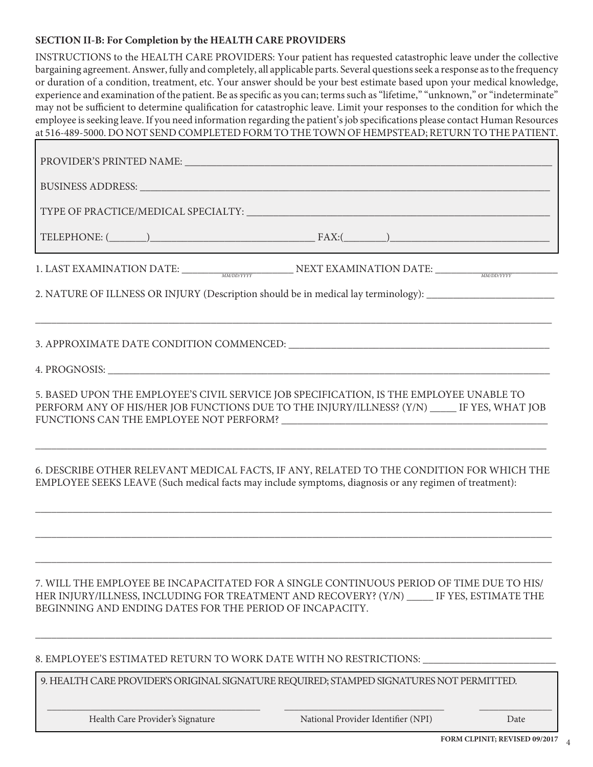### **SECTION II-B: For Completion by the HEALTH CARE PROVIDERS**

INSTRUCTIONS to the HEALTH CARE PROVIDERS: Your patient has requested catastrophic leave under the collective bargaining agreement. Answer, fully and completely, all applicable parts. Several questions seek a response as to the frequency or duration of a condition, treatment, etc. Your answer should be your best estimate based upon your medical knowledge, experience and examination of the patient. Be as specific as you can; terms such as "lifetime," "unknown," or "indeterminate" may not be sufficient to determine qualification for catastrophic leave. Limit your responses to the condition for which the employee is seeking leave. If you need information regarding the patient's job specifications please contact Human Resources at 516-489-5000. DO NOT SEND COMPLETED FORM TO THE TOWN OF HEMPSTEAD; RETURN TO THE PATIENT.

| BUSINESS ADDRESS: University of the contract of the contract of the contract of the contract of the contract of the contract of the contract of the contract of the contract of the contract of the contract of the contract o               |
|----------------------------------------------------------------------------------------------------------------------------------------------------------------------------------------------------------------------------------------------|
|                                                                                                                                                                                                                                              |
| $\text{TELEPHONE:} \text{(________)}$                                                                                                                                                                                                        |
| 1. LAST EXAMINATION DATE: MANDENTYY NEXT EXAMINATION DATE: MANDENTYY                                                                                                                                                                         |
| 2. NATURE OF ILLNESS OR INJURY (Description should be in medical lay terminology): __________________________                                                                                                                                |
|                                                                                                                                                                                                                                              |
|                                                                                                                                                                                                                                              |
| 5. BASED UPON THE EMPLOYEE'S CIVIL SERVICE JOB SPECIFICATION, IS THE EMPLOYEE UNABLE TO<br>PERFORM ANY OF HIS/HER JOB FUNCTIONS DUE TO THE INJURY/ILLNESS? (Y/N) ______ IF YES, WHAT JOB                                                     |
| 6. DESCRIBE OTHER RELEVANT MEDICAL FACTS, IF ANY, RELATED TO THE CONDITION FOR WHICH THE<br>EMPLOYEE SEEKS LEAVE (Such medical facts may include symptoms, diagnosis or any regimen of treatment):                                           |
|                                                                                                                                                                                                                                              |
| 7. WILL THE EMPLOYEE BE INCAPACITATED FOR A SINGLE CONTINUOUS PERIOD OF TIME DUE TO HIS/<br>HER INJURY/ILLNESS, INCLUDING FOR TREATMENT AND RECOVERY? (Y/N) IF YES, ESTIMATE THE<br>BEGINNING AND ENDING DATES FOR THE PERIOD OF INCAPACITY. |
| 8. EMPLOYEE'S ESTIMATED RETURN TO WORK DATE WITH NO RESTRICTIONS:                                                                                                                                                                            |
| 9. HEALTH CARE PROVIDER'S ORIGINAL SIGNATURE REQUIRED; STAMPED SIGNATURES NOT PERMITTED.                                                                                                                                                     |

\_\_\_\_\_\_\_\_\_\_\_\_\_\_\_\_\_\_\_\_\_\_\_\_\_\_\_\_\_\_\_\_\_\_\_\_\_\_\_\_\_\_\_\_ \_\_\_\_\_\_\_\_\_\_\_\_\_\_\_\_\_\_\_\_\_\_\_\_\_\_\_\_\_\_\_\_\_ \_\_\_\_\_\_\_\_\_\_\_\_\_\_\_

Health Care Provider's Signature National Provider Identifier (NPI) Date